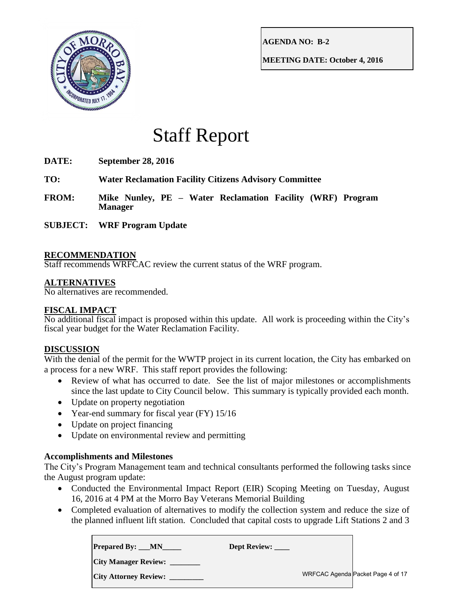

**AGENDA NO: B-2**

**MEETING DATE: October 4, 2016**

# Staff Report

- **DATE: September 28, 2016**
- **TO: Water Reclamation Facility Citizens Advisory Committee**
- **FROM: Mike Nunley, PE – Water Reclamation Facility (WRF) Program Manager**
- **SUBJECT: WRF Program Update**

# **RECOMMENDATION**

Staff recommends WRFCAC review the current status of the WRF program.

# **ALTERNATIVES**

No alternatives are recommended.

## **FISCAL IMPACT**

No additional fiscal impact is proposed within this update. All work is proceeding within the City's fiscal year budget for the Water Reclamation Facility.

## **DISCUSSION**

With the denial of the permit for the WWTP project in its current location, the City has embarked on a process for a new WRF. This staff report provides the following:

- Review of what has occurred to date. See the list of major milestones or accomplishments since the last update to City Council below. This summary is typically provided each month.
- Update on property negotiation
- Year-end summary for fiscal year (FY) 15/16
- Update on project financing
- Update on environmental review and permitting

## **Accomplishments and Milestones**

The City's Program Management team and technical consultants performed the following tasks since the August program update:

- Conducted the Environmental Impact Report (EIR) Scoping Meeting on Tuesday, August 16, 2016 at 4 PM at the Morro Bay Veterans Memorial Building
- Completed evaluation of alternatives to modify the collection system and reduce the size of the planned influent lift station. Concluded that capital costs to upgrade Lift Stations 2 and 3

| <b>Prepared By: __MN</b>     | <b>Dept Review:</b> |                                   |
|------------------------------|---------------------|-----------------------------------|
| <b>City Manager Review:</b>  |                     |                                   |
| <b>City Attorney Review:</b> |                     | WRFCAC Agenda Packet Page 4 of 17 |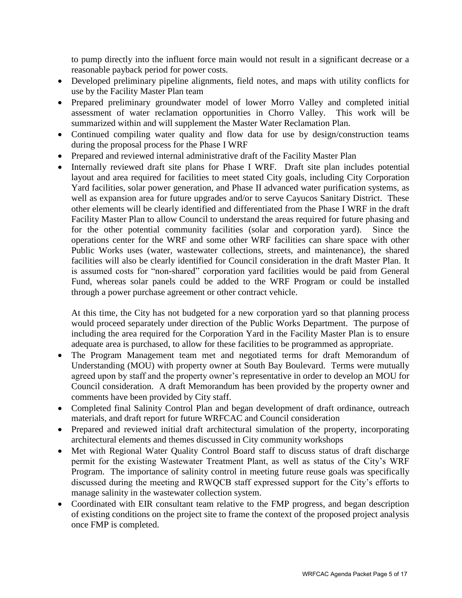to pump directly into the influent force main would not result in a significant decrease or a reasonable payback period for power costs.

- Developed preliminary pipeline alignments, field notes, and maps with utility conflicts for use by the Facility Master Plan team
- Prepared preliminary groundwater model of lower Morro Valley and completed initial assessment of water reclamation opportunities in Chorro Valley. This work will be summarized within and will supplement the Master Water Reclamation Plan.
- Continued compiling water quality and flow data for use by design/construction teams during the proposal process for the Phase I WRF
- Prepared and reviewed internal administrative draft of the Facility Master Plan
- Internally reviewed draft site plans for Phase I WRF. Draft site plan includes potential layout and area required for facilities to meet stated City goals, including City Corporation Yard facilities, solar power generation, and Phase II advanced water purification systems, as well as expansion area for future upgrades and/or to serve Cayucos Sanitary District. These other elements will be clearly identified and differentiated from the Phase I WRF in the draft Facility Master Plan to allow Council to understand the areas required for future phasing and for the other potential community facilities (solar and corporation yard). Since the operations center for the WRF and some other WRF facilities can share space with other Public Works uses (water, wastewater collections, streets, and maintenance), the shared facilities will also be clearly identified for Council consideration in the draft Master Plan. It is assumed costs for "non-shared" corporation yard facilities would be paid from General Fund, whereas solar panels could be added to the WRF Program or could be installed through a power purchase agreement or other contract vehicle.

At this time, the City has not budgeted for a new corporation yard so that planning process would proceed separately under direction of the Public Works Department. The purpose of including the area required for the Corporation Yard in the Facility Master Plan is to ensure adequate area is purchased, to allow for these facilities to be programmed as appropriate.

- The Program Management team met and negotiated terms for draft Memorandum of Understanding (MOU) with property owner at South Bay Boulevard. Terms were mutually agreed upon by staff and the property owner's representative in order to develop an MOU for Council consideration. A draft Memorandum has been provided by the property owner and comments have been provided by City staff.
- Completed final Salinity Control Plan and began development of draft ordinance, outreach materials, and draft report for future WRFCAC and Council consideration
- Prepared and reviewed initial draft architectural simulation of the property, incorporating architectural elements and themes discussed in City community workshops
- Met with Regional Water Quality Control Board staff to discuss status of draft discharge permit for the existing Wastewater Treatment Plant, as well as status of the City's WRF Program. The importance of salinity control in meeting future reuse goals was specifically discussed during the meeting and RWQCB staff expressed support for the City's efforts to manage salinity in the wastewater collection system.
- Coordinated with EIR consultant team relative to the FMP progress, and began description of existing conditions on the project site to frame the context of the proposed project analysis once FMP is completed.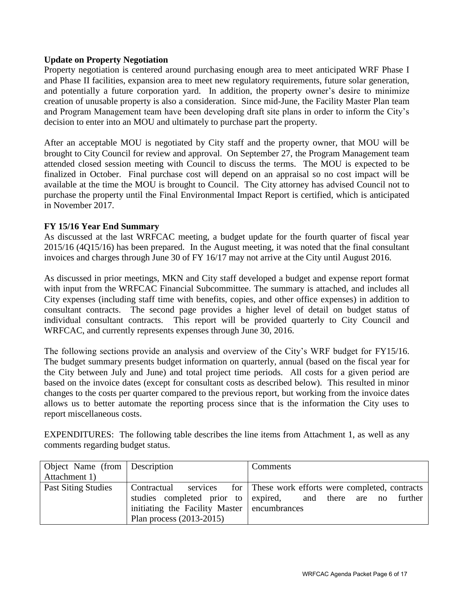## **Update on Property Negotiation**

Property negotiation is centered around purchasing enough area to meet anticipated WRF Phase I and Phase II facilities, expansion area to meet new regulatory requirements, future solar generation, and potentially a future corporation yard. In addition, the property owner's desire to minimize creation of unusable property is also a consideration. Since mid-June, the Facility Master Plan team and Program Management team have been developing draft site plans in order to inform the City's decision to enter into an MOU and ultimately to purchase part the property.

After an acceptable MOU is negotiated by City staff and the property owner, that MOU will be brought to City Council for review and approval. On September 27, the Program Management team attended closed session meeting with Council to discuss the terms. The MOU is expected to be finalized in October. Final purchase cost will depend on an appraisal so no cost impact will be available at the time the MOU is brought to Council. The City attorney has advised Council not to purchase the property until the Final Environmental Impact Report is certified, which is anticipated in November 2017.

# **FY 15/16 Year End Summary**

As discussed at the last WRFCAC meeting, a budget update for the fourth quarter of fiscal year 2015/16 (4Q15/16) has been prepared. In the August meeting, it was noted that the final consultant invoices and charges through June 30 of FY 16/17 may not arrive at the City until August 2016.

As discussed in prior meetings, MKN and City staff developed a budget and expense report format with input from the WRFCAC Financial Subcommittee. The summary is attached, and includes all City expenses (including staff time with benefits, copies, and other office expenses) in addition to consultant contracts. The second page provides a higher level of detail on budget status of individual consultant contracts. This report will be provided quarterly to City Council and WRFCAC, and currently represents expenses through June 30, 2016.

The following sections provide an analysis and overview of the City's WRF budget for FY15/16. The budget summary presents budget information on quarterly, annual (based on the fiscal year for the City between July and June) and total project time periods. All costs for a given period are based on the invoice dates (except for consultant costs as described below). This resulted in minor changes to the costs per quarter compared to the previous report, but working from the invoice dates allows us to better automate the reporting process since that is the information the City uses to report miscellaneous costs.

EXPENDITURES: The following table describes the line items from Attachment 1, as well as any comments regarding budget status.

| Object Name (from Description |                                             | Comments                                                  |
|-------------------------------|---------------------------------------------|-----------------------------------------------------------|
| Attachment 1)                 |                                             |                                                           |
| <b>Past Siting Studies</b>    | Contractual                                 | services for These work efforts were completed, contracts |
|                               | studies completed prior to expired,         | and there are no further                                  |
|                               | initiating the Facility Master encumbrances |                                                           |
|                               | Plan process $(2013-2015)$                  |                                                           |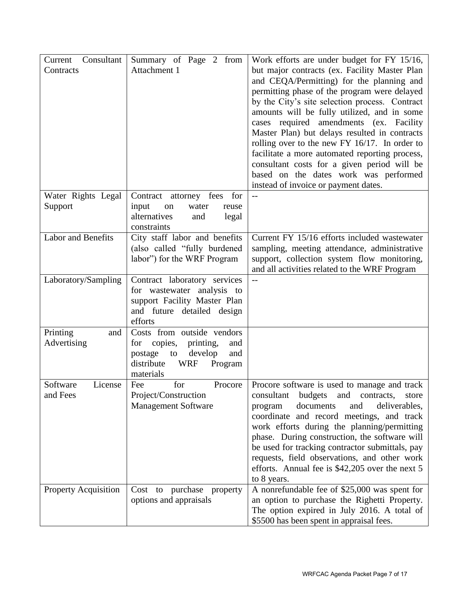| Consultant<br>Current<br>Contracts | Summary of Page 2 from<br>Attachment 1                                                                                                                  | Work efforts are under budget for FY 15/16,<br>but major contracts (ex. Facility Master Plan<br>and CEQA/Permitting) for the planning and<br>permitting phase of the program were delayed<br>by the City's site selection process. Contract<br>amounts will be fully utilized, and in some<br>cases required amendments (ex. Facility<br>Master Plan) but delays resulted in contracts<br>rolling over to the new FY $16/17$ . In order to<br>facilitate a more automated reporting process,<br>consultant costs for a given period will be<br>based on the dates work was performed<br>instead of invoice or payment dates. |
|------------------------------------|---------------------------------------------------------------------------------------------------------------------------------------------------------|------------------------------------------------------------------------------------------------------------------------------------------------------------------------------------------------------------------------------------------------------------------------------------------------------------------------------------------------------------------------------------------------------------------------------------------------------------------------------------------------------------------------------------------------------------------------------------------------------------------------------|
| Water Rights Legal<br>Support      | Contract attorney fees<br>for<br>input<br>water<br>on<br>reuse<br>alternatives<br>and<br>legal                                                          | $-$                                                                                                                                                                                                                                                                                                                                                                                                                                                                                                                                                                                                                          |
|                                    | constraints                                                                                                                                             |                                                                                                                                                                                                                                                                                                                                                                                                                                                                                                                                                                                                                              |
| Labor and Benefits                 | City staff labor and benefits<br>(also called "fully burdened<br>labor") for the WRF Program                                                            | Current FY 15/16 efforts included wastewater<br>sampling, meeting attendance, administrative<br>support, collection system flow monitoring,<br>and all activities related to the WRF Program                                                                                                                                                                                                                                                                                                                                                                                                                                 |
| Laboratory/Sampling                | Contract laboratory services<br>for wastewater analysis to<br>support Facility Master Plan<br>and future detailed design<br>efforts                     | $-$                                                                                                                                                                                                                                                                                                                                                                                                                                                                                                                                                                                                                          |
| Printing<br>and<br>Advertising     | Costs from outside vendors<br>copies,<br>printing,<br>for<br>and<br>develop<br>postage<br>to<br>and<br>distribute<br><b>WRF</b><br>Program<br>materials |                                                                                                                                                                                                                                                                                                                                                                                                                                                                                                                                                                                                                              |
| License<br>Software<br>and Fees    | for<br>Fee<br>Procore<br>Project/Construction<br><b>Management Software</b>                                                                             | Procore software is used to manage and track<br>budgets and contracts,<br>consultant<br>store<br>documents<br>and<br>deliverables,<br>program<br>coordinate and record meetings, and track<br>work efforts during the planning/permitting<br>phase. During construction, the software will<br>be used for tracking contractor submittals, pay<br>requests, field observations, and other work<br>efforts. Annual fee is \$42,205 over the next 5<br>to 8 years.                                                                                                                                                              |
| Property Acquisition               | Cost to purchase property<br>options and appraisals                                                                                                     | A nonrefundable fee of \$25,000 was spent for<br>an option to purchase the Righetti Property.<br>The option expired in July 2016. A total of<br>\$5500 has been spent in appraisal fees.                                                                                                                                                                                                                                                                                                                                                                                                                                     |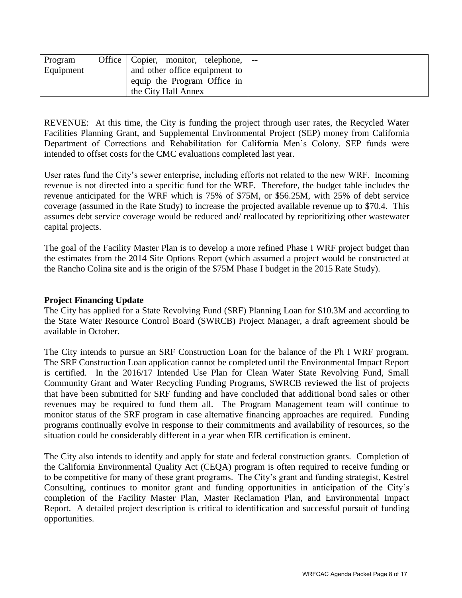| Program   | Office   Copier, monitor, telephone,<br>$-$ |
|-----------|---------------------------------------------|
| Equipment | and other office equipment to               |
|           | equip the Program Office in                 |
|           | the City Hall Annex                         |

REVENUE: At this time, the City is funding the project through user rates, the Recycled Water Facilities Planning Grant, and Supplemental Environmental Project (SEP) money from California Department of Corrections and Rehabilitation for California Men's Colony. SEP funds were intended to offset costs for the CMC evaluations completed last year.

User rates fund the City's sewer enterprise, including efforts not related to the new WRF. Incoming revenue is not directed into a specific fund for the WRF. Therefore, the budget table includes the revenue anticipated for the WRF which is 75% of \$75M, or \$56.25M, with 25% of debt service coverage (assumed in the Rate Study) to increase the projected available revenue up to \$70.4. This assumes debt service coverage would be reduced and/ reallocated by reprioritizing other wastewater capital projects.

The goal of the Facility Master Plan is to develop a more refined Phase I WRF project budget than the estimates from the 2014 Site Options Report (which assumed a project would be constructed at the Rancho Colina site and is the origin of the \$75M Phase I budget in the 2015 Rate Study).

#### **Project Financing Update**

The City has applied for a State Revolving Fund (SRF) Planning Loan for \$10.3M and according to the State Water Resource Control Board (SWRCB) Project Manager, a draft agreement should be available in October.

The City intends to pursue an SRF Construction Loan for the balance of the Ph I WRF program. The SRF Construction Loan application cannot be completed until the Environmental Impact Report is certified. In the 2016/17 Intended Use Plan for Clean Water State Revolving Fund, Small Community Grant and Water Recycling Funding Programs, SWRCB reviewed the list of projects that have been submitted for SRF funding and have concluded that additional bond sales or other revenues may be required to fund them all. The Program Management team will continue to monitor status of the SRF program in case alternative financing approaches are required. Funding programs continually evolve in response to their commitments and availability of resources, so the situation could be considerably different in a year when EIR certification is eminent.

The City also intends to identify and apply for state and federal construction grants. Completion of the California Environmental Quality Act (CEQA) program is often required to receive funding or to be competitive for many of these grant programs. The City's grant and funding strategist, Kestrel Consulting, continues to monitor grant and funding opportunities in anticipation of the City's completion of the Facility Master Plan, Master Reclamation Plan, and Environmental Impact Report. A detailed project description is critical to identification and successful pursuit of funding opportunities.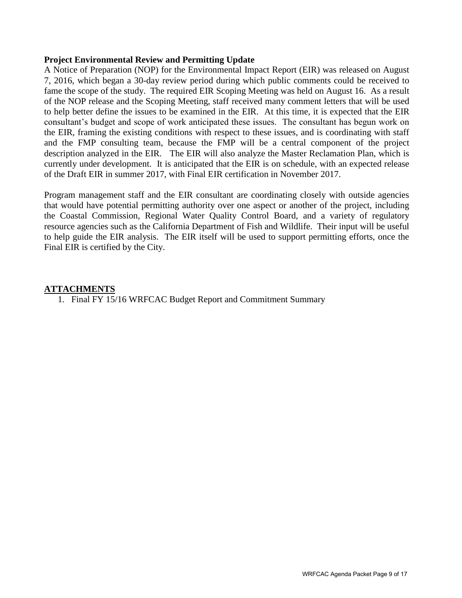#### **Project Environmental Review and Permitting Update**

A Notice of Preparation (NOP) for the Environmental Impact Report (EIR) was released on August 7, 2016, which began a 30-day review period during which public comments could be received to fame the scope of the study. The required EIR Scoping Meeting was held on August 16. As a result of the NOP release and the Scoping Meeting, staff received many comment letters that will be used to help better define the issues to be examined in the EIR. At this time, it is expected that the EIR consultant's budget and scope of work anticipated these issues. The consultant has begun work on the EIR, framing the existing conditions with respect to these issues, and is coordinating with staff and the FMP consulting team, because the FMP will be a central component of the project description analyzed in the EIR. The EIR will also analyze the Master Reclamation Plan, which is currently under development. It is anticipated that the EIR is on schedule, with an expected release of the Draft EIR in summer 2017, with Final EIR certification in November 2017.

Program management staff and the EIR consultant are coordinating closely with outside agencies that would have potential permitting authority over one aspect or another of the project, including the Coastal Commission, Regional Water Quality Control Board, and a variety of regulatory resource agencies such as the California Department of Fish and Wildlife. Their input will be useful to help guide the EIR analysis. The EIR itself will be used to support permitting efforts, once the Final EIR is certified by the City.

#### **ATTACHMENTS**

1. Final FY 15/16 WRFCAC Budget Report and Commitment Summary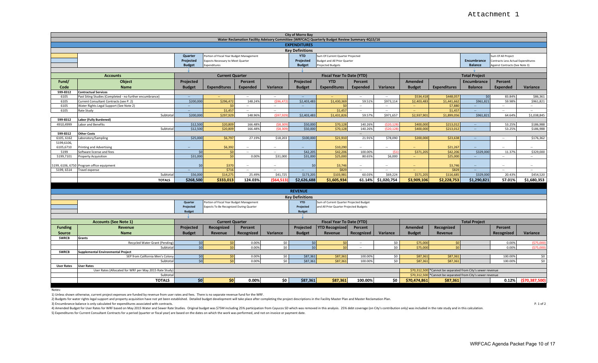| <b>City of Morro Bay</b>                                                                                              |                                                          |                        |                                          |                    |                        |                                  |                                         |                          |                   |                        |                                                             |                      |                                    |                         |
|-----------------------------------------------------------------------------------------------------------------------|----------------------------------------------------------|------------------------|------------------------------------------|--------------------|------------------------|----------------------------------|-----------------------------------------|--------------------------|-------------------|------------------------|-------------------------------------------------------------|----------------------|------------------------------------|-------------------------|
| Water Reclamation Facility Advisory Committee (WRFCAC) Quarterly Budget Review Summary 4Q15/16<br><b>EXPENDITURES</b> |                                                          |                        |                                          |                    |                        |                                  |                                         |                          |                   |                        |                                                             |                      |                                    |                         |
| <b>Key Definitions</b>                                                                                                |                                                          |                        |                                          |                    |                        |                                  |                                         |                          |                   |                        |                                                             |                      |                                    |                         |
|                                                                                                                       |                                                          | Quarter                | Portion of Fiscal Year Budget Management |                    |                        | <b>YTD</b>                       | Sum Of Current Quarter Projected        |                          |                   |                        |                                                             |                      | Sum Of All Project                 |                         |
|                                                                                                                       |                                                          | Projected              | Expects Necessary to Meet Quarter        |                    |                        | Projected                        | <b>Budget and All Prior Quarter</b>     |                          |                   |                        |                                                             | Encumbrance          | Contracts Less Actual Expenditures |                         |
|                                                                                                                       |                                                          | <b>Budget</b>          | Expenditures                             |                    |                        | <b>Budget</b>                    | <b>Projected Budgets</b>                |                          |                   |                        |                                                             | <b>Balance</b>       | Against Contracts (See Note 3)     |                         |
|                                                                                                                       |                                                          |                        |                                          |                    |                        |                                  |                                         |                          |                   |                        |                                                             |                      |                                    |                         |
|                                                                                                                       | <b>Accounts</b>                                          |                        | <b>Current Quarter</b>                   |                    |                        |                                  | <b>Fiscal Year To Date (YTD)</b>        |                          |                   |                        |                                                             | <b>Total Project</b> |                                    |                         |
| Fund/                                                                                                                 | Object                                                   | Projected              |                                          | Percent            |                        | Projected                        | <b>YTD</b>                              | Percent                  |                   | Amended                |                                                             | Encumbrance          | Percent                            |                         |
| Code                                                                                                                  | Name                                                     | <b>Budget</b>          | <b>Expenditures</b>                      | <b>Expended</b>    | Variance               | <b>Budget</b>                    | <b>Expenditures</b>                     | Expended                 | Variance          | <b>Budget</b>          | <b>Expenditures</b>                                         | <b>Balance</b>       | <b>Expended</b>                    | Variance                |
| 599-8312                                                                                                              | <b>Contractual Services</b>                              |                        |                                          |                    |                        |                                  |                                         |                          |                   |                        |                                                             |                      |                                    |                         |
| 6105                                                                                                                  | Past Siting Studies (Completed - no further encumbrance) |                        |                                          | $\sim$             | $\sim$                 | $\sim$                           |                                         | $\sim$                   | $\sim$            | \$534,418              | \$448,057                                                   | \$0                  | 83.84%                             | \$86,361                |
| 6105                                                                                                                  | Current Consultant Contracts (see P. 2)                  | \$200,000              | \$296,47                                 | 148.24%            | ( \$96,47              | \$2,403,483                      | \$1,430,369                             | 59.51%                   | \$973,114         | \$2,403,483            | \$1,441,662                                                 | \$961,821            | 59.98%                             | \$961,821               |
| 6105                                                                                                                  | Water Rights Legal Support (See Note 2)                  | $\sim$                 | ۹                                        | $\sim$             | $\sim$                 | $\sim$                           | ۹r                                      | $\sim$                   | $\sim$            | $\sim$                 | \$7,88                                                      | $\sim$               | $\sim$                             | $\sim$                  |
| 6105                                                                                                                  | Rate Study                                               |                        | \$1,45                                   | $\sim$             | $\sim$                 |                                  | \$1,45                                  | $\sim$                   | $\sim$            | ш.                     | \$1,457                                                     |                      | $\sim$                             | $\sim$                  |
|                                                                                                                       | Subtota                                                  | \$200,000              | \$297,929                                | 148.96%            | (597, 92)              | \$2,403,483                      | \$1,431,826                             | 59.57%                   | \$971,657         | \$2,937,901            | \$1,899,056                                                 | \$961,821            | 64.64%                             | \$1,038,845             |
| 599-8312                                                                                                              | Labor (Fully Burdened)                                   |                        |                                          |                    | (58.30)                |                                  |                                         | 140.26%                  | (520.12)          |                        |                                                             |                      | 53.25%                             |                         |
| 4910,4999                                                                                                             | Labor and Benefits<br>Subtota                            | \$12,500<br>\$12,500   | \$20,809<br>\$20,809                     | 166.48%<br>166.48% | (58.30)                | \$50,000<br>\$50,000             | \$70,128<br>\$70.128                    | 140.26%                  | (\$20.128         | \$400,000<br>\$400,000 | \$213,012<br>\$213,012                                      | $\sim$               | 53.25%                             | \$186,988<br>\$186,988  |
| 599-8312                                                                                                              | <b>Other Costs</b>                                       |                        |                                          |                    |                        |                                  |                                         | $\overline{\phantom{a}}$ |                   |                        |                                                             |                      |                                    |                         |
| 6105, 6162                                                                                                            | Laboratory/Sampling                                      | \$25,000               | \$6,797                                  | 27.19%             | \$18,203               | \$100,000                        | \$21,910                                | 21.91%                   | \$78,090          | \$200,000              | \$23,638                                                    |                      |                                    | \$176,362               |
| 5199,6106,                                                                                                            |                                                          |                        |                                          |                    |                        |                                  |                                         |                          |                   |                        |                                                             |                      |                                    |                         |
| 6105,6710                                                                                                             | Printing and Advertising                                 |                        | \$6,392                                  |                    |                        |                                  | \$10,290                                |                          |                   |                        | \$21,267                                                    |                      |                                    |                         |
| 5199                                                                                                                  | Software license and fees                                | \$0                    | \$0                                      |                    | $\sim$                 | \$42,205                         | \$42,206                                | 100.00%                  | (S <sub>1</sub> ) | \$371,20               | \$42,206                                                    | \$329,000            | 11.37%                             | \$329,000               |
| 5199,7101                                                                                                             | <b>Property Acquisition</b>                              | \$31,000               | 50                                       | 0.00%              | \$31,000               | \$31,000                         | \$25,000                                | 80.65%                   | \$6,000           | $\Delta\Delta\omega$   | \$25,000                                                    | $\sim$ .             | $\sim$                             | $\sim$                  |
|                                                                                                                       |                                                          |                        |                                          |                    |                        |                                  |                                         |                          |                   |                        |                                                             |                      |                                    |                         |
|                                                                                                                       | 199, 6106, 6750 Program office equipment                 | \$0                    | \$370                                    |                    |                        | \$0                              | \$3,746                                 |                          |                   |                        | \$3,746                                                     |                      |                                    |                         |
| 5199, 6514                                                                                                            | Travel expense                                           | $\sim$                 | \$716                                    | $\sim$             | $\sim$                 | $\sim$                           | \$829                                   | $\sim$                   | $\sim$            | <b>Section</b>         | \$829                                                       | $\sim$               | $\sim$                             | $\sim$                  |
|                                                                                                                       | Subtotal                                                 | \$56,000               | \$14,275                                 | 25.49%             | \$41,725<br>(\$64.513) | \$173,205                        | \$103,981                               | 60.03%                   | \$69,224          | \$571,205              | \$116,685                                                   | \$329,000            | 20.43%                             | \$454,520               |
|                                                                                                                       | <b>TOTALS</b>                                            | \$268,500              | \$333,013                                | 124.03%            |                        | \$2,626,688                      | \$1,605,934                             | 61.14%                   | \$1,020,754       | \$3,909,106            | \$2,228,753                                                 | \$1,290,821          | 57.01%                             | \$1,680,353             |
|                                                                                                                       |                                                          |                        |                                          |                    |                        |                                  |                                         |                          |                   |                        |                                                             |                      |                                    |                         |
|                                                                                                                       |                                                          |                        |                                          |                    |                        | <b>REVENUE</b>                   |                                         |                          |                   |                        |                                                             |                      |                                    |                         |
|                                                                                                                       |                                                          |                        |                                          |                    |                        | <b>Key Definitions</b>           |                                         |                          |                   |                        |                                                             |                      |                                    |                         |
|                                                                                                                       |                                                          | Quarter                | Portion of Fiscal Year Budget Management |                    |                        | <b>YTD</b>                       | Sum of Current Quarter Projected Budget |                          |                   |                        |                                                             |                      |                                    |                         |
|                                                                                                                       |                                                          | Projected              | Expects To Be Recognized During Quarter  |                    |                        | Projected                        | and All Prior Quarter Projected Budgets |                          |                   |                        |                                                             |                      |                                    |                         |
|                                                                                                                       |                                                          | <b>Budget</b>          |                                          |                    |                        | <b>Budget</b>                    |                                         |                          |                   |                        |                                                             |                      |                                    |                         |
|                                                                                                                       | <b>Accounts (See Note 1)</b>                             | <b>Current Quarter</b> |                                          |                    |                        | <b>Fiscal Year To Date (YTD)</b> |                                         |                          |                   | <b>Total Project</b>   |                                                             |                      |                                    |                         |
| <b>Funding</b>                                                                                                        |                                                          |                        |                                          |                    |                        |                                  |                                         |                          |                   | Amended                |                                                             |                      | Percent                            |                         |
|                                                                                                                       | Revenue                                                  | Projected              | Recognized                               | Percent            |                        | Projected                        | <b>YTD Recognized</b>                   | Percent                  |                   |                        | Recognized                                                  |                      |                                    |                         |
| <b>Source</b>                                                                                                         | Name                                                     | <b>Budget</b>          | Revenue                                  | Recognized         | Variance               | <b>Budget</b>                    | Revenue                                 | Recognized               | Variance          | <b>Budget</b>          | Revenue                                                     |                      | Recognized                         | Variance                |
| <b>SWRCB</b>                                                                                                          | Grants                                                   |                        | \$0                                      | 0.00%              | \$0                    | \$0                              | \$0                                     |                          | \$0\$             |                        | \$0                                                         |                      | 0.00%                              | (575,000)               |
|                                                                                                                       | Recycled Water Grant (Pending<br>Subtota                 | \$0<br>\$0             | \$0                                      | 0.00%              | \$0                    | \$0                              | \$0                                     | $\sim$                   | \$0\$             | \$75,000<br>\$75,000   | \$0                                                         |                      | 0.00%                              | (575,000)               |
| <b>SWRCB</b>                                                                                                          | <b>Supplemental Environmental Project</b>                |                        |                                          |                    |                        |                                  |                                         |                          |                   |                        |                                                             |                      |                                    |                         |
|                                                                                                                       | SEP from California Men's Colony                         | \$0                    | \$0                                      | 0.00%              | \$0                    | \$87,361                         | \$87,361                                | 100.00%                  | \$0               | \$87,361               | \$87,361                                                    |                      | 100.00%                            | \$0                     |
|                                                                                                                       | Subtota                                                  | \$0                    | \$0                                      | 0.00%              | \$0                    | \$87,361                         | \$87,361                                | 100.00%                  | \$0               | \$87,361               | \$87,361                                                    |                      | 100.00%                            | \$0                     |
| <b>User Rates</b>                                                                                                     | <b>User Rates</b>                                        |                        |                                          |                    |                        |                                  |                                         |                          |                   |                        |                                                             |                      |                                    |                         |
|                                                                                                                       | User Rates (Allocated for WRF per May 2015 Rate Study    |                        |                                          |                    |                        |                                  |                                         |                          |                   |                        | \$70,312,500 *Cannot be separated from City's sewer revenue |                      |                                    |                         |
|                                                                                                                       | Subtota                                                  |                        |                                          |                    |                        |                                  |                                         |                          |                   | \$70,312,500           | *Cannot be separated from City's sewer revenue              |                      |                                    |                         |
|                                                                                                                       | <b>TOTALS</b>                                            | \$0                    | \$0                                      | 0.00%              | \$0                    | \$87,361                         | \$87,361                                | 100.00%                  | \$0               | \$70,474,861           | \$87,361                                                    |                      |                                    | $0.12\%$ (\$70,387,500) |
|                                                                                                                       |                                                          |                        |                                          |                    |                        |                                  |                                         |                          |                   |                        |                                                             |                      |                                    |                         |

Notes:

1) Unless shown otherwise, current project expenses are funded by revenue from user rates and fees. There is no separate revenue fund for the WRF.

2) Budgets for water rights legal support and property acquisition have not yet been established. Detailed budget development will take place after completing the project descriptions in the Facility Master Plan and Master

3) Encumbrance balance is only calculated for expenditures associated with contracts. P. 1 of 2

4) Amended Budget for User Rates for WRF based on May 2015 Water and Sewer Rate Studies. Original budget was \$75M including 25% participation from Cayucos SD which was removed in this analysis. 25% debt coverage (on City's

5) Expenditures for Current Consultant Contracts for a period (quarter or fiscal year) are based on the dates on which the work was performed, and not on invoice or payment date.